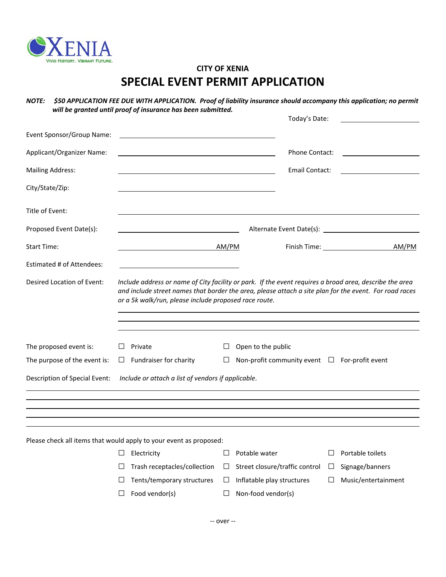

## **CITY OF XENIA SPECIAL EVENT PERMIT APPLICATION**

*NOTE: \$50 APPLICATION FEE DUE WITH APPLICATION. Proof of liability insurance should accompany this application; no permit will be granted until proof of insurance has been submitted.*

|                                                                                     |                                                                                                                                                                                                                                                                            |                                                                                                                                                                                                                               |        | Today's Date:                                      |        |                                                 |  |  |  |
|-------------------------------------------------------------------------------------|----------------------------------------------------------------------------------------------------------------------------------------------------------------------------------------------------------------------------------------------------------------------------|-------------------------------------------------------------------------------------------------------------------------------------------------------------------------------------------------------------------------------|--------|----------------------------------------------------|--------|-------------------------------------------------|--|--|--|
| Event Sponsor/Group Name:                                                           |                                                                                                                                                                                                                                                                            |                                                                                                                                                                                                                               |        |                                                    |        |                                                 |  |  |  |
| Applicant/Organizer Name:                                                           |                                                                                                                                                                                                                                                                            |                                                                                                                                                                                                                               |        | <b>Phone Contact:</b>                              |        | <u> 1989 - John Stone, amerikansk politiker</u> |  |  |  |
| <b>Mailing Address:</b>                                                             |                                                                                                                                                                                                                                                                            | the control of the control of the control of the control of the control of the control of the control of the control of the control of the control of the control of the control of the control of the control of the control |        | Email Contact:                                     |        |                                                 |  |  |  |
| City/State/Zip:                                                                     |                                                                                                                                                                                                                                                                            |                                                                                                                                                                                                                               |        |                                                    |        |                                                 |  |  |  |
| Title of Event:                                                                     |                                                                                                                                                                                                                                                                            |                                                                                                                                                                                                                               |        |                                                    |        |                                                 |  |  |  |
| Proposed Event Date(s):                                                             | <u> Alexandria de la contrada de la contrada de la contrada de la contrada de la contrada de la contrada de la c</u>                                                                                                                                                       |                                                                                                                                                                                                                               |        |                                                    |        |                                                 |  |  |  |
| <b>Start Time:</b>                                                                  |                                                                                                                                                                                                                                                                            |                                                                                                                                                                                                                               | AM/PM  |                                                    |        | AM/PM                                           |  |  |  |
| Estimated # of Attendees:                                                           |                                                                                                                                                                                                                                                                            |                                                                                                                                                                                                                               |        |                                                    |        |                                                 |  |  |  |
| Desired Location of Event:                                                          | Include address or name of City facility or park. If the event requires a broad area, describe the area<br>and include street names that border the area, please attach a site plan for the event. For road races<br>or a 5k walk/run, please include proposed race route. |                                                                                                                                                                                                                               |        |                                                    |        |                                                 |  |  |  |
| The proposed event is:                                                              | ⊔                                                                                                                                                                                                                                                                          | Private                                                                                                                                                                                                                       | Ш      | Open to the public                                 |        |                                                 |  |  |  |
| The purpose of the event is:                                                        | $\Box$                                                                                                                                                                                                                                                                     | Fundraiser for charity                                                                                                                                                                                                        | $\Box$ | Non-profit community event $\Box$ For-profit event |        |                                                 |  |  |  |
| Description of Special Event:<br>Include or attach a list of vendors if applicable. |                                                                                                                                                                                                                                                                            |                                                                                                                                                                                                                               |        |                                                    |        |                                                 |  |  |  |
|                                                                                     |                                                                                                                                                                                                                                                                            | and the control of the control of the control of the control of the control of the control of the control of the                                                                                                              |        |                                                    |        |                                                 |  |  |  |
|                                                                                     |                                                                                                                                                                                                                                                                            |                                                                                                                                                                                                                               |        |                                                    |        |                                                 |  |  |  |
|                                                                                     |                                                                                                                                                                                                                                                                            | Please check all items that would apply to your event as proposed:                                                                                                                                                            |        |                                                    |        |                                                 |  |  |  |
|                                                                                     |                                                                                                                                                                                                                                                                            | Electricity                                                                                                                                                                                                                   | ப      | Potable water                                      |        | Portable toilets                                |  |  |  |
|                                                                                     | ⊔                                                                                                                                                                                                                                                                          | Trash receptacles/collection                                                                                                                                                                                                  | $\Box$ | Street closure/traffic control                     | $\Box$ | Signage/banners                                 |  |  |  |
|                                                                                     | ⊔                                                                                                                                                                                                                                                                          | Tents/temporary structures                                                                                                                                                                                                    | $\Box$ | Inflatable play structures                         | ப      | Music/entertainment                             |  |  |  |
|                                                                                     | ப                                                                                                                                                                                                                                                                          | Food vendor(s)                                                                                                                                                                                                                | $\Box$ | Non-food vendor(s)                                 |        |                                                 |  |  |  |